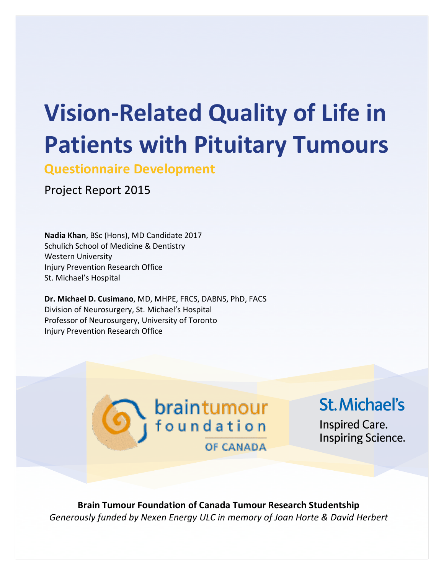# **Vision-Related Quality of Life in Patients with Pituitary Tumours**

**Questionnaire Development** 

Project Report 2015

Nadia Khan, BSc (Hons), MD Candidate 2017 Schulich School of Medicine & Dentistry Western University Injury Prevention Research Office St. Michael's Hospital

Dr. Michael D. Cusimano, MD, MHPE, FRCS, DABNS, PhD, FACS Division of Neurosurgery, St. Michael's Hospital Professor of Neurosurgery, University of Toronto Injury Prevention Research Office



**St. Michael's** 

**Inspired Care. Inspiring Science.** 

**Brain-Tumour-Foundation-of-Canada-Tumour-Research-Studentship** *Generously\*funded\*by\*Nexen\*Energy\*ULC\*in\*memory\*of\*Joan\*Horte\*& David\*Herbert*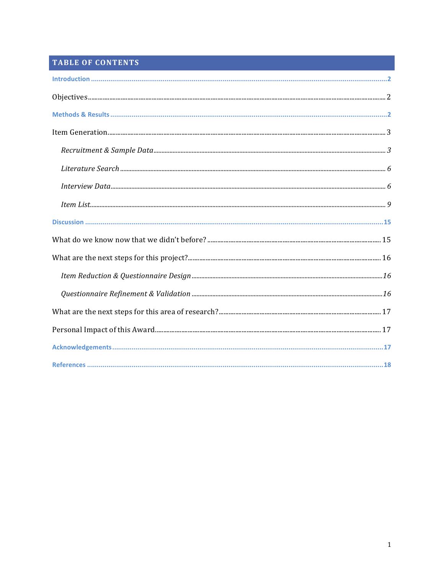# TABLE OF CONTENTS

| $\label{lem:3} \mbox{Introduction} \,\, \ldots \,\, \ldots \,\, \ldots \,\, \ldots \,\, \ldots \,\, \ldots \,\, \ldots \,\, \ldots \,\, \ldots \,\, \ldots \,\, \ldots \,\, \ldots \,\, \ldots \,\, \ldots \,\, \ldots \,\, \ldots \,\, \ldots \,\, \ldots \,\, \ldots \,\, \ldots \,\, \ldots \,\, \ldots \,\, \ldots \,\, \ldots \,\, \ldots \,\, \ldots \,\, \ldots \,\, \ldots \,\, \ldots \,\, \ldots \,\, \ldots \,\, \ldots \,\, \ldots \,\, \ldots \,\,$ |  |  |  |  |  |  |  |  |
|------------------------------------------------------------------------------------------------------------------------------------------------------------------------------------------------------------------------------------------------------------------------------------------------------------------------------------------------------------------------------------------------------------------------------------------------------------------|--|--|--|--|--|--|--|--|
|                                                                                                                                                                                                                                                                                                                                                                                                                                                                  |  |  |  |  |  |  |  |  |
|                                                                                                                                                                                                                                                                                                                                                                                                                                                                  |  |  |  |  |  |  |  |  |
|                                                                                                                                                                                                                                                                                                                                                                                                                                                                  |  |  |  |  |  |  |  |  |
|                                                                                                                                                                                                                                                                                                                                                                                                                                                                  |  |  |  |  |  |  |  |  |
|                                                                                                                                                                                                                                                                                                                                                                                                                                                                  |  |  |  |  |  |  |  |  |
|                                                                                                                                                                                                                                                                                                                                                                                                                                                                  |  |  |  |  |  |  |  |  |
|                                                                                                                                                                                                                                                                                                                                                                                                                                                                  |  |  |  |  |  |  |  |  |
|                                                                                                                                                                                                                                                                                                                                                                                                                                                                  |  |  |  |  |  |  |  |  |
|                                                                                                                                                                                                                                                                                                                                                                                                                                                                  |  |  |  |  |  |  |  |  |
|                                                                                                                                                                                                                                                                                                                                                                                                                                                                  |  |  |  |  |  |  |  |  |
|                                                                                                                                                                                                                                                                                                                                                                                                                                                                  |  |  |  |  |  |  |  |  |
|                                                                                                                                                                                                                                                                                                                                                                                                                                                                  |  |  |  |  |  |  |  |  |
|                                                                                                                                                                                                                                                                                                                                                                                                                                                                  |  |  |  |  |  |  |  |  |
|                                                                                                                                                                                                                                                                                                                                                                                                                                                                  |  |  |  |  |  |  |  |  |
|                                                                                                                                                                                                                                                                                                                                                                                                                                                                  |  |  |  |  |  |  |  |  |
|                                                                                                                                                                                                                                                                                                                                                                                                                                                                  |  |  |  |  |  |  |  |  |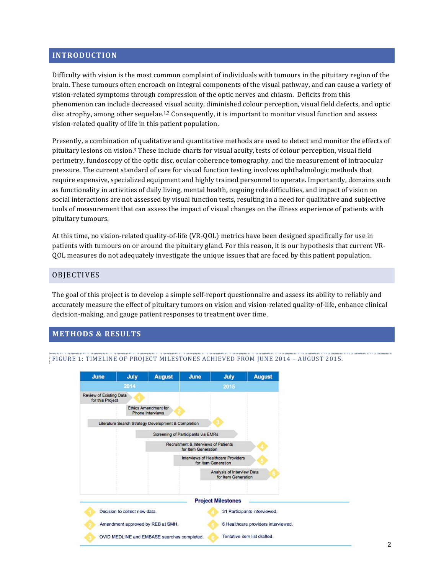#### **INTRODUCTION**

Difficulty with vision is the most common complaint of individuals with tumours in the pituitary region of the brain. These tumours often encroach on integral components of the visual pathway, and can cause a variety of vision-related symptoms through compression of the optic nerves and chiasm. Deficits from this phenomenon can include decreased visual acuity, diminished colour perception, visual field defects, and optic disc atrophy, among other sequelae.<sup>1,2</sup> Consequently, it is important to monitor visual function and assess vision-related quality of life in this patient population.

Presently, a combination of qualitative and quantitative methods are used to detect and monitor the effects of pituitary lesions on vision.<sup>3</sup> These include charts for visual acuity, tests of colour perception, visual field perimetry, fundoscopy of the optic disc, ocular coherence tomography, and the measurement of intraocular pressure. The current standard of care for visual function testing involves ophthalmologic methods that require expensive, specialized equipment and highly trained personnel to operate. Importantly, domains such as functionality in activities of daily living, mental health, ongoing role difficulties, and impact of vision on social interactions are not assessed by visual function tests, resulting in a need for qualitative and subjective tools of measurement that can assess the impact of visual changes on the illness experience of patients with pituitary tumours.

At this time, no vision-related quality-of-life (VR-QOL) metrics have been designed specifically for use in patients with tumours on or around the pituitary gland. For this reason, it is our hypothesis that current VR-QOL measures do not adequately investigate the unique issues that are faced by this patient population.

#### **OBJECTIVES**

The goal of this project is to develop a simple self-report questionnaire and assess its ability to reliably and accurately measure the effect of pituitary tumors on vision and vision-related quality-of-life, enhance clinical decision-making, and gauge patient responses to treatment over time.

#### **METHODS &&RESULTS**



#### FIGURE 1: TIMELINE OF PROJECT MILESTONES ACHIEVED FROM JUNE 2014 - AUGUST 2015.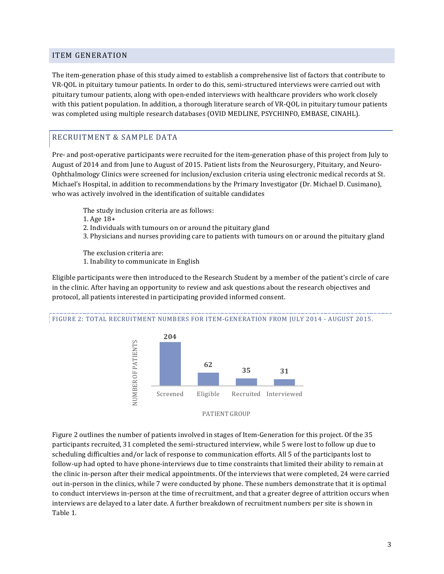#### ITEM!GENERATION

The item-generation phase of this study aimed to establish a comprehensive list of factors that contribute to VR-QOL in pituitary tumour patients. In order to do this, semi-structured interviews were carried out with pituitary tumour patients, along with open-ended interviews with healthcare providers who work closely with this patient population. In addition, a thorough literature search of VR-QOL in pituitary tumour patients was completed using multiple research databases (OVID MEDLINE, PSYCHINFO, EMBASE, CINAHL).

## RECRUITMENT & SAMPLE DATA

Pre- and post-operative participants were recruited for the item-generation phase of this project from July to August of 2014 and from June to August of 2015. Patient lists from the Neurosurgery, Pituitary, and Neuro-Ophthalmology Clinics were screened for inclusion/exclusion criteria using electronic medical records at St. Michael's Hospital, in addition to recommendations by the Primary Investigator (Dr. Michael D. Cusimano), who was actively involved in the identification of suitable candidates

- The study inclusion criteria are as follows:
- 1. Age 18+
- 2. Individuals with tumours on or around the pituitary gland
- 3. Physicians and nurses providing care to patients with tumours on or around the pituitary gland

The exclusion criteria are: 1. Inability to communicate in English

Eligible participants were then introduced to the Research Student by a member of the patient's circle of care in the clinic. After having an opportunity to review and ask questions about the research objectives and protocol, all patients interested in participating provided informed consent.

#### FIGURE 2: TOTAL RECRUITMENT NUMBERS FOR ITEM-GENERATION FROM JULY 2014 - AUGUST 2015.



Figure 2 outlines the number of patients involved in stages of Item-Generation for this project. Of the 35 participants recruited, 31 completed the semi-structured interview, while 5 were lost to follow up due to scheduling difficulties and/or lack of response to communication efforts. All 5 of the participants lost to follow-up had opted to have phone-interviews due to time constraints that limited their ability to remain at the clinic in-person after their medical appointments. Of the interviews that were completed, 24 were carried out in-person in the clinics, while 7 were conducted by phone. These numbers demonstrate that it is optimal to conduct interviews in-person at the time of recruitment, and that a greater degree of attrition occurs when interviews are delayed to a later date. A further breakdown of recruitment numbers per site is shown in Table 1.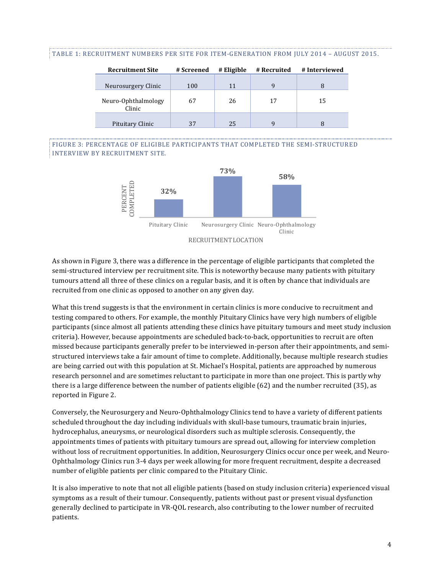#### TABLE 1: RECRUITMENT NUMBERS PER SITE FOR ITEM-GENERATION FROM JULY 2014 - AUGUST 2015.

| <b>Recruitment Site</b>                              | # Screened | # Eligible | # Recruited | # Interviewed |
|------------------------------------------------------|------------|------------|-------------|---------------|
| Neurosurgery Clinic<br>Neuro-Ophthalmology<br>Clinic | 100<br>67  | 11<br>26   | 9<br>17     | 15            |
| Pituitary Clinic                                     | 37         | 25         | q           |               |

#### FIGURE 3: PERCENTAGE OF ELIGIBLE PARTICIPANTS THAT COMPLETED THE SEMI-STRUCTURED INTERVIEW BY RECRUITMENT SITE.



As shown in Figure 3, there was a difference in the percentage of eligible participants that completed the semi-structured interview per recruitment site. This is noteworthy because many patients with pituitary tumours attend all three of these clinics on a regular basis, and it is often by chance that individuals are recruited from one clinic as opposed to another on any given day.

What this trend suggests is that the environment in certain clinics is more conducive to recruitment and testing compared to others. For example, the monthly Pituitary Clinics have very high numbers of eligible participants (since almost all patients attending these clinics have pituitary tumours and meet study inclusion criteria). However, because appointments are scheduled back-to-back, opportunities to recruit are often missed because participants generally prefer to be interviewed in-person after their appointments, and semistructured interviews take a fair amount of time to complete. Additionally, because multiple research studies are being carried out with this population at St. Michael's Hospital, patients are approached by numerous research personnel and are sometimes reluctant to participate in more than one project. This is partly why there is a large difference between the number of patients eligible  $(62)$  and the number recruited (35), as reported in Figure 2.

Conversely, the Neurosurgery and Neuro-Ophthalmology Clinics tend to have a variety of different patients scheduled throughout the day including individuals with skull-base tumours, traumatic brain injuries, hydrocephalus, aneurysms, or neurological disorders such as multiple sclerosis. Consequently, the appointments times of patients with pituitary tumours are spread out, allowing for interview completion without loss of recruitment opportunities. In addition, Neurosurgery Clinics occur once per week, and Neuro-Ophthalmology Clinics run 3-4 days per week allowing for more frequent recruitment, despite a decreased number of eligible patients per clinic compared to the Pituitary Clinic.

It is also imperative to note that not all eligible patients (based on study inclusion criteria) experienced visual symptoms as a result of their tumour. Consequently, patients without past or present visual dysfunction generally declined to participate in VR-QOL research, also contributing to the lower number of recruited patients.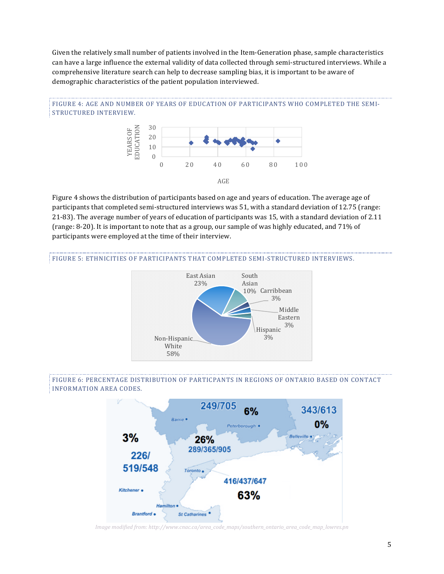Given the relatively small number of patients involved in the Item-Generation phase, sample characteristics can have a large influence the external validity of data collected through semi-structured interviews. While a comprehensive literature search can help to decrease sampling bias, it is important to be aware of demographic characteristics of the patient population interviewed.





Figure 4 shows the distribution of participants based on age and years of education. The average age of participants that completed semi-structured interviews was 51, with a standard deviation of 12.75 (range: 21-83). The average number of years of education of participants was 15, with a standard deviation of 2.11 (range: 8-20). It is important to note that as a group, our sample of was highly educated, and 71% of participants were employed at the time of their interview.

#### FIGURE 5: ETHNICITIES OF PARTICIPANTS THAT COMPLETED SEMI-STRUCTURED INTERVIEWS.



#### FIGURE 6: PERCENTAGE DISTRIBUTION OF PARTICPANTS IN REGIONS OF ONTARIO BASED ON CONTACT INFORMATION AREA CODES.



*Image\*modified\*from:\*http://www.cnac.ca/area\_code\_maps/southern\_ontario\_area\_code\_map\_lowres.pn*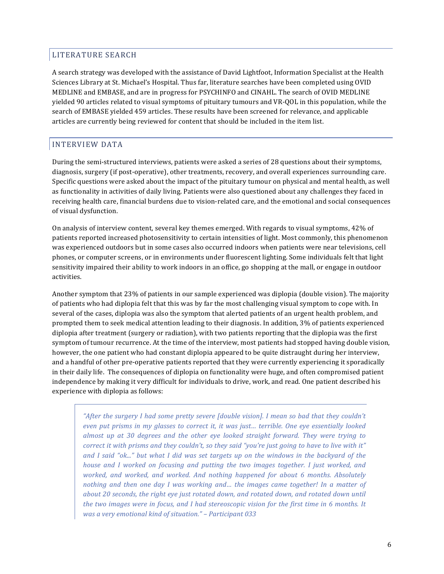# LITERATURE SEARCH

A search strategy was developed with the assistance of David Lightfoot, Information Specialist at the Health Sciences Library at St. Michael's Hospital. Thus far, literature searches have been completed using OVID MEDLINE and EMBASE, and are in progress for PSYCHINFO and CINAHL. The search of OVID MEDLINE yielded 90 articles related to visual symptoms of pituitary tumours and VR-QOL in this population, while the search of EMBASE yielded 459 articles. These results have been screened for relevance, and applicable articles are currently being reviewed for content that should be included in the item list.

# INTERVIEW!DATA

During the semi-structured interviews, patients were asked a series of 28 questions about their symptoms, diagnosis, surgery (if post-operative), other treatments, recovery, and overall experiences surrounding care. Specific questions were asked about the impact of the pituitary tumour on physical and mental health, as well as functionality in activities of daily living. Patients were also questioned about any challenges they faced in receiving health care, financial burdens due to vision-related care, and the emotional and social consequences of visual dysfunction.

On analysis of interview content, several key themes emerged. With regards to visual symptoms, 42% of patients reported increased photosensitivity to certain intensities of light. Most commonly, this phenomenon was experienced outdoors but in some cases also occurred indoors when patients were near televisions, cell phones, or computer screens, or in environments under fluorescent lighting. Some individuals felt that light sensitivity impaired their ability to work indoors in an office, go shopping at the mall, or engage in outdoor activities.

Another symptom that 23% of patients in our sample experienced was diplopia (double vision). The majority of patients who had diplopia felt that this was by far the most challenging visual symptom to cope with. In several of the cases, diplopia was also the symptom that alerted patients of an urgent health problem, and prompted them to seek medical attention leading to their diagnosis. In addition, 3% of patients experienced diplopia after treatment (surgery or radiation), with two patients reporting that the diplopia was the first symptom of tumour recurrence. At the time of the interview, most patients had stopped having double vision, however, the one patient who had constant diplopia appeared to be quite distraught during her interview, and a handful of other pre-operative patients reported that they were currently experiencing it sporadically in their daily life. The consequences of diplopia on functionality were huge, and often compromised patient independence by making it very difficult for individuals to drive, work, and read. One patient described his experience with diplopia as follows:

*"After\*the\*surgery\*I\*had\*some\*pretty\*severe\*[double\*vision].\*I\*mean\*so\*bad\*that\*they\*couldn't\* even put prisms in my glasses to correct it, it was just... terrible. One eye essentially looked almost\* up\* at\* 30\* degrees\* and\* the\* other\* eye looked\* straight\* forward.\* They\* were\* trying\* to\* correct it with prisms and they couldn't, so they said "you're just going to have to live with it" and I said "ok..."* but what I did was set targets up on the windows in the backyard of the *house and I worked on focusing and putting the two images together. I just worked, and worked, and\* worked, and\* worked.\* And\* nothing\* happened\* for\* about\* 6\* months.\* Absolutely\* nothing\* and\* then\* one\* day\* I\* was\* working\* and…\* the\* images\* came\* together! In\* a\* matter\* of\* about\*20\*seconds,\*the\*right\*eye\*just\*rotated\*down, and\*rotated\*down, and\*rotated\*down\*until\* the two images were in focus, and I had stereoscopic vision for the first time in 6 months. It was\*a\*very\*emotional\*kind\*of\*situation." – Participant\*033*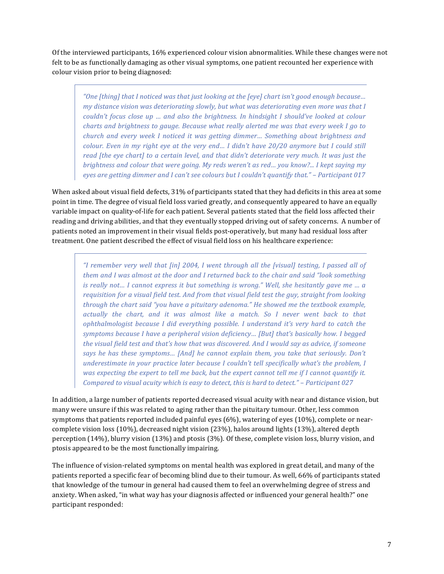Of the interviewed participants, 16% experienced colour vision abnormalities. While these changes were not felt to be as functionally damaging as other visual symptoms, one patient recounted her experience with colour vision prior to being diagnosed:

*"One\*[thing]\*that\*I\*noticed\*was\*that\*just\*looking at the\*[eye]\*chart\*isn't\*good\*enough\*because… my distance vision was deteriorating slowly, but what was deteriorating even more was that I couldn't focus close up ... and also the brightness. In hindsight I should've looked at colour charts\*and\*brightness\*to\*gauge.\*Because\*what\*really\*alerted\*me\*was that every\*week\*I\*go\*to\* church and every week I noticed it was getting dimmer... Something about brightness and colour.* Even in my right eye at the very end... I didn't have 20/20 anymore but I could still *read [the eye chart] to a certain level, and that didn't deteriorate very much. It was just the brightness\*and\*colour that were\*going.\*My\*reds\*weren't\*as\*red… you\*know?...\*I\*kept\*saying\*my\* eyes\*are\*getting\*dimmer\*and\*I\*can't\*see\*colours\*but\*I\*couldn't\*quantify\*that."\*– Participant\*017*

When asked about visual field defects, 31% of participants stated that they had deficits in this area at some point in time. The degree of visual field loss varied greatly, and consequently appeared to have an equally variable impact on quality-of-life for each patient. Several patients stated that the field loss affected their reading and driving abilities, and that they eventually stopped driving out of safety concerns. A number of patients noted an improvement in their visual fields post-operatively, but many had residual loss after treatment. One patient described the effect of visual field loss on his healthcare experience:

*"I* remember very well that [in] 2004, I went through all the [visual] testing, I passed all of them and I was almost at the door and I returned back to the chair and said "look something" *is really not… I cannot express it but something is wrong." Well, she hesitantly gave me ... a requisition\*for\*a\*visual\*field\*test.\*And\*from\*that\*visual\*field\*test\*the\*guy, straight from looking\* through the chart said "you have a pituitary adenoma." He showed me the textbook example,* actually the chart, and it was almost like a match. So I never went back to that *ophthalmologist because I did everything possible. I understand it's very hard to catch the* symptoms because I have a peripheral vision deficiency... [But] that's basically how. I begged *the\*visual\*field\*test\*and\*that's\*how\*that\*was\*discovered.\*And\*I\*would\*say as advice,\*if\*someone\* says he has these symptoms... [And] he cannot explain them, you take that seriously. Don't underestimate in your practice later because I couldn't tell specifically what's the problem, I* was expecting the expert to tell me back, but the expert cannot tell me if I cannot quantify it. *Compared to visual acuity which is easy to detect, this is hard to detect." – Participant 027* 

In addition, a large number of patients reported decreased visual acuity with near and distance vision, but many were unsure if this was related to aging rather than the pituitary tumour. Other, less common symptoms that patients reported included painful eyes  $(6%)$ , watering of eyes  $(10%)$ , complete or nearcomplete vision loss (10%), decreased night vision (23%), halos around lights (13%), altered depth perception (14%), blurry vision (13%) and ptosis (3%). Of these, complete vision loss, blurry vision, and ptosis appeared to be the most functionally impairing.

The influence of vision-related symptoms on mental health was explored in great detail, and many of the patients reported a specific fear of becoming blind due to their tumour. As well, 66% of participants stated that knowledge of the tumour in general had caused them to feel an overwhelming degree of stress and anxiety. When asked, "in what way has your diagnosis affected or influenced your general health?" one participant responded: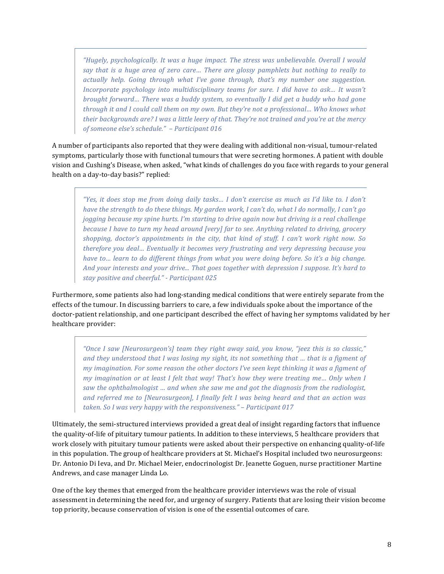*"Hugely,\*psychologically.\* It\*was\*a\*huge\*impact.\*The\*stress\*was\*unbelievable.\*Overall\* I\*would\* say\* that\* is\* a\* huge\* area\* of\* zero\* care…\* There\* are\* glossy\* pamphlets\* but\* nothing\* to\* really\* to\* actually\* help.\* Going\* through\* what\* I've\* gone\* through,\* that's\* my\* number\* one suggestion.\* Incorporate psychology into multidisciplinary teams for sure. I did have to ask... It wasn't brought\*forward…\*There\*was\*a\*buddy\*system,\*so\*eventually\*I\*did\*get\*a\*buddy\*who\*had\*gone\* through it and I could call them on my own. But they're not a professional... Who knows what* their\*backgrounds\*are? I\*was\*a\*little\*leery\*of\*that.\*They're\*not\*trained\*and\*you're\*at\*the\*mercy\* *of\*someone\*else's\*schedule."\* – Participant\*016*

A number of participants also reported that they were dealing with additional non-visual, tumour-related symptoms, particularly those with functional tumours that were secreting hormones. A patient with double vision and Cushing's Disease, when asked, "what kinds of challenges do you face with regards to your general health on a day-to-day basis?" replied:

*"Yes, it does stop me from doing daily tasks... I don't exercise as much as I'd like to. I don't have the strength to do these things. My garden work, I can't do, what I do normally, I can't go* jogging because my spine hurts. I'm starting to drive again now but driving is a real challenge *because\*I\*have\*to\*turn\*my\*head\*around\*[very] far to see.\*Anything\*related\*to\*driving,\*grocery\* shopping,\* doctor's\* appointments\* in\* the\* city,\* that\* kind\* of\* stuff. I\* can't\* work\* right\* now.\* So\** therefore you deal... Eventually it becomes very frustrating and very depressing because you *have to... learn to do different things from what you were doing before. So it's a big change.* And your interests and your drive... That goes together with depression I suppose. It's hard to *stay\*positive\*and\*cheerful."\*f Participant\*025*

Furthermore, some patients also had long-standing medical conditions that were entirely separate from the effects of the tumour. In discussing barriers to care, a few individuals spoke about the importance of the doctor-patient relationship, and one participant described the effect of having her symptoms validated by her healthcare provider:

*"Once\* I\* saw\* [Neurosurgeon's]\* team\* they\* right\* away\* said,\*you\*know,\*"jeez\* this\*is\* so\* classic," and\*they\*understood\*that\*I\*was\*losing\*my\*sight,\*its\*not\*something\*that … that\*is\*a\*figment\*of\* my imagination. For some reason the other doctors I've seen kept thinking it was a figment of my imagination or at least I felt that way! That's how they were treating me... Only when I* saw the ophthalmologist ... and when she saw me and got the diagnosis from the radiologist, *and referred me to [Neurosurgeon], I finally felt I was being heard and that an action was taken.\*So\*I\*was\*very\*happy\*with\*the\*responsiveness."\*– Participant\*017*

Ultimately, the semi-structured interviews provided a great deal of insight regarding factors that influence the quality-of-life of pituitary tumour patients. In addition to these interviews, 5 healthcare providers that work closely with pituitary tumour patients were asked about their perspective on enhancing quality-of-life in this population. The group of healthcare providers at St. Michael's Hospital included two neurosurgeons: Dr. Antonio Di Ieva, and Dr. Michael Meier, endocrinologist Dr. Jeanette Goguen, nurse practitioner Martine Andrews, and case manager Linda Lo.

One of the key themes that emerged from the healthcare provider interviews was the role of visual assessment in determining the need for, and urgency of surgery. Patients that are losing their vision become top priority, because conservation of vision is one of the essential outcomes of care.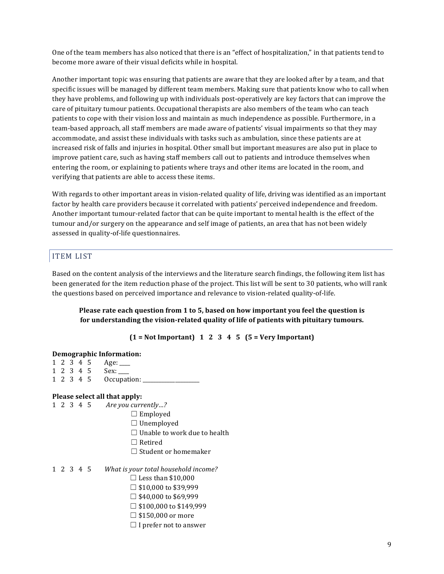One of the team members has also noticed that there is an "effect of hospitalization," in that patients tend to become more aware of their visual deficits while in hospital.

Another important topic was ensuring that patients are aware that they are looked after by a team, and that specific issues will be managed by different team members. Making sure that patients know who to call when they have problems, and following up with individuals post-operatively are key factors that can improve the care of pituitary tumour patients. Occupational therapists are also members of the team who can teach patients to cope with their vision loss and maintain as much independence as possible. Furthermore, in a team-based approach, all staff members are made aware of patients' visual impairments so that they may accommodate, and assist these individuals with tasks such as ambulation, since these patients are at increased risk of falls and injuries in hospital. Other small but important measures are also put in place to improve patient care, such as having staff members call out to patients and introduce themselves when entering the room, or explaining to patients where trays and other items are located in the room, and verifying that patients are able to access these items.

With regards to other important areas in vision-related quality of life, driving was identified as an important factor by health care providers because it correlated with patients' perceived independence and freedom. Another important tumour-related factor that can be quite important to mental health is the effect of the tumour and/or surgery on the appearance and self image of patients, an area that has not been widely assessed in quality-of-life questionnaires.

#### ITEM!LIST

Based on the content analysis of the interviews and the literature search findings, the following item list has been generated for the item reduction phase of the project. This list will be sent to 30 patients, who will rank the questions based on perceived importance and relevance to vision-related quality-of-life.

#### **Please rate each question from 1 to 5, based on how important you feel the question is** for understanding the vision-related quality of life of patients with pituitary tumours.

 $(1 = Not Important) 1 2 3 4 5 (5 = Very Important)$ 

| Demographic Information: |  |  |  |                                     |  |  |  |  |  |  |  |
|--------------------------|--|--|--|-------------------------------------|--|--|--|--|--|--|--|
|                          |  |  |  | $1 \t2 \t3 \t4 \t5 \tAge:$          |  |  |  |  |  |  |  |
|                          |  |  |  | 1 2 3 4 5 Sex:                      |  |  |  |  |  |  |  |
|                          |  |  |  | 1 2 3 4 5 Occupation: ____          |  |  |  |  |  |  |  |
|                          |  |  |  | Please select all that apply:       |  |  |  |  |  |  |  |
|                          |  |  |  | 1 2 3 4 5 Are you currently?        |  |  |  |  |  |  |  |
|                          |  |  |  | $\Box$ Employed                     |  |  |  |  |  |  |  |
|                          |  |  |  | $\Box$ Unemployed                   |  |  |  |  |  |  |  |
|                          |  |  |  | $\Box$ Unable to work due to health |  |  |  |  |  |  |  |
|                          |  |  |  | $\Box$ Retired                      |  |  |  |  |  |  |  |
|                          |  |  |  | $\Box$ Student or homemaker         |  |  |  |  |  |  |  |

#### 1 2 3 4 5 What is your total household income?

- $\Box$  Less than \$10,000
- $\Box$  \$10,000 to \$39,999
- $\Box$  \$40,000 to \$69,999
- $\Box$  \$100,000 to \$149,999
- $\square$  \$150,000 or more
- $\Box$  I prefer not to answer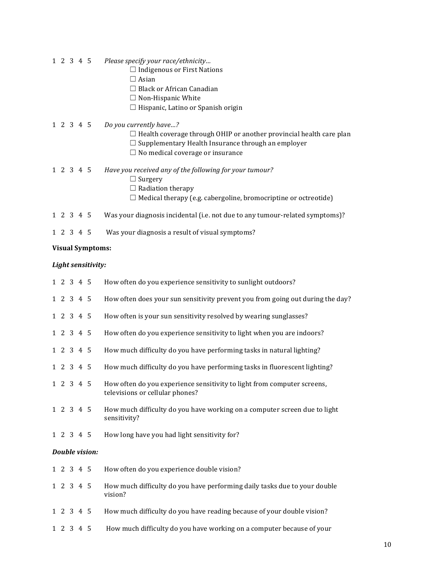- $1\ 2\ 3\ 4\ 5$ Please specify your race/ethnicity...
	- $\Box$  Indigenous or First Nations
	- $\Box$  Asian
	- □ Black or African Canadian
	- $\Box$  Non-Hispanic White
	- □ Hispanic, Latino or Spanish origin
- $1\ 2\ 3\ 4\ 5$ Do you currently have...?
	- $\Box$  Health coverage through OHIP or another provincial health care plan
	- $\Box$  Supplementary Health Insurance through an employer
	- $\Box$  No medical coverage or insurance
- $1\ 2\ 3\ 4\ 5$ Have you received any of the following for your tumour?
	- $\Box$  Surgery
	- $\Box$  Radiation therapy
	- $\Box$  Medical therapy (e.g. cabergoline, bromocriptine or octreotide)
- $1\ 2\ 3\ 4\ 5$ Was your diagnosis incidental (i.e. not due to any tumour-related symptoms)?
- $1\ 2\ 3\ 4\ 5$ Was your diagnosis a result of visual symptoms?

#### **Visual Symptoms:**

#### Light sensitivity:

|  | $1\ 2\ 3\ 4\ 5$ |                       | How often do you experience sensitivity to sunlight outdoors?                                              |
|--|-----------------|-----------------------|------------------------------------------------------------------------------------------------------------|
|  | 1 2 3 4 5       |                       | How often does your sun sensitivity prevent you from going out during the day?                             |
|  | 1 2 3 4 5       |                       | How often is your sun sensitivity resolved by wearing sunglasses?                                          |
|  | $1\ 2\ 3\ 4\ 5$ |                       | How often do you experience sensitivity to light when you are indoors?                                     |
|  | 1 2 3 4 5       |                       | How much difficulty do you have performing tasks in natural lighting?                                      |
|  | 1 2 3 4 5       |                       | How much difficulty do you have performing tasks in fluorescent lighting?                                  |
|  | 1 2 3 4 5       |                       | How often do you experience sensitivity to light from computer screens,<br>televisions or cellular phones? |
|  | 1 2 3 4 5       |                       | How much difficulty do you have working on a computer screen due to light<br>sensitivity?                  |
|  | 1 2 3 4 5       |                       | How long have you had light sensitivity for?                                                               |
|  |                 | <b>Double vision:</b> |                                                                                                            |
|  | 1 2 3 4 5       |                       | How often do you experience double vision?                                                                 |
|  | $1\ 2\ 3\ 4\ 5$ |                       | How much difficulty do you have performing daily tasks due to your double<br>vision?                       |
|  | 1 2 3 4 5       |                       | How much difficulty do you have reading because of your double vision?                                     |
|  | 1 2 3 4 5       |                       | How much difficulty do you have working on a computer because of your                                      |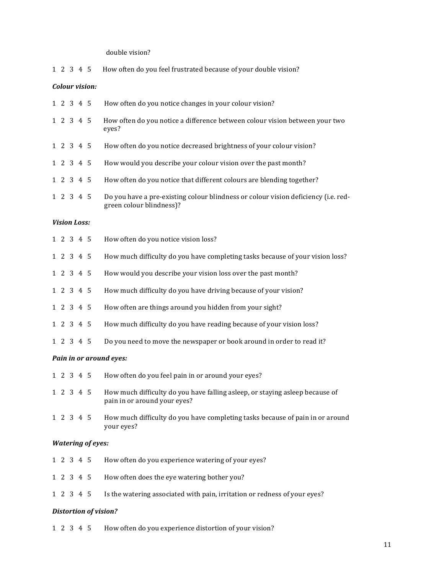double vision?

| 1 2 3 4 5 How often do you feel frustrated because of your double vision? |  |
|---------------------------------------------------------------------------|--|
|---------------------------------------------------------------------------|--|

#### *Colour vision:*

|  | 1 2 3 4 5           |                          | How often do you notice changes in your colour vision?                                                         |
|--|---------------------|--------------------------|----------------------------------------------------------------------------------------------------------------|
|  | 1 2 3 4 5           |                          | How often do you notice a difference between colour vision between your two<br>eyes?                           |
|  | 1 2 3 4 5           |                          | How often do you notice decreased brightness of your colour vision?                                            |
|  | 1 2 3 4 5           |                          | How would you describe your colour vision over the past month?                                                 |
|  | 1 2 3 4 5           |                          | How often do you notice that different colours are blending together?                                          |
|  | $1\ 2\ 3\ 4\ 5$     |                          | Do you have a pre-existing colour blindness or colour vision deficiency (i.e. red-<br>green colour blindness)? |
|  | <b>Vision Loss:</b> |                          |                                                                                                                |
|  | $1\ 2\ 3\ 4\ 5$     |                          | How often do you notice vision loss?                                                                           |
|  | 1 2 3 4 5           |                          | How much difficulty do you have completing tasks because of your vision loss?                                  |
|  | $1\ 2\ 3\ 4\ 5$     |                          | How would you describe your vision loss over the past month?                                                   |
|  | 1 2 3 4 5           |                          | How much difficulty do you have driving because of your vision?                                                |
|  | $1\ 2\ 3\ 4\ 5$     |                          | How often are things around you hidden from your sight?                                                        |
|  | 1 2 3 4 5           |                          | How much difficulty do you have reading because of your vision loss?                                           |
|  | 1 2 3 4 5           |                          | Do you need to move the newspaper or book around in order to read it?                                          |
|  |                     |                          | Pain in or around eyes:                                                                                        |
|  | 1 2 3 4 5           |                          | How often do you feel pain in or around your eyes?                                                             |
|  | 1 2 3 4 5           |                          | How much difficulty do you have falling asleep, or staying asleep because of<br>pain in or around your eyes?   |
|  |                     | 1 2 3 4 5                | How much difficulty do you have completing tasks because of pain in or around<br>your eyes?                    |
|  |                     | <b>Watering of eyes:</b> |                                                                                                                |
|  | 1 2 3 4 5           |                          | How often do you experience watering of your eyes?                                                             |
|  | 1 2 3 4 5           |                          | How often does the eye watering bother you?                                                                    |
|  | 1 2 3 4 5           |                          | Is the watering associated with pain, irritation or redness of your eyes?                                      |

#### **Distortion of vision?**

1 2 3 4 5 How often do you experience distortion of your vision?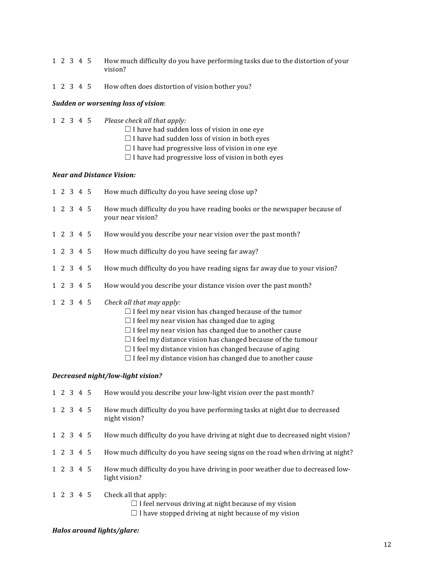- 1 2 3 4 5 How much difficulty do you have performing tasks due to the distortion of your vision?
- 1 2 3 4 5 How often does distortion of vision bother you?

#### **Sudden or worsening loss of vision:**

- 1 2 3 4 5 Please check all that apply:
	- $\Box$  I have had sudden loss of vision in one eye
	- $\Box$  I have had sudden loss of vision in both eyes
	- $\Box$  I have had progressive loss of vision in one eye
	- $\Box$  I have had progressive loss of vision in both eyes

#### *Near&and&Distance&Vision:*

|                     |  | 1 2 3 4 5 | How much difficulty do you have seeing close up?                                                                                                                                                                     |
|---------------------|--|-----------|----------------------------------------------------------------------------------------------------------------------------------------------------------------------------------------------------------------------|
| 1 2 3 4 5           |  |           | How much difficulty do you have reading books or the newspaper because of<br>your near vision?                                                                                                                       |
| $1 \t2 \t3 \t4 \t5$ |  |           | How would you describe your near vision over the past month?                                                                                                                                                         |
| 1 2 3 4 5           |  |           | How much difficulty do you have seeing far away?                                                                                                                                                                     |
| 1 2 3 4 5           |  |           | How much difficulty do you have reading signs far away due to your vision?                                                                                                                                           |
| 1 2 3 4 5           |  |           | How would you describe your distance vision over the past month?                                                                                                                                                     |
| 1 2 3 4 5           |  |           | Check all that may apply:<br>$\Box$ I feel my near vision has changed because of the tumor<br>$\Box$ I feel my near vision has changed due to aging<br>$\Box$ I feel my near vision has changed due to another cause |

- $\Box$  I feel my distance vision has changed because of the tumour
- $\Box$  I feel my distance vision has changed because of aging
- $\Box$  I feel my distance vision has changed due to another cause

#### *Decreased night/low-light vision?*

|  | 1 2 3 4 5 | How would you describe your low-light vision over the past month?                              |
|--|-----------|------------------------------------------------------------------------------------------------|
|  | 1 2 3 4 5 | How much difficulty do you have performing tasks at night due to decreased<br>night vision?    |
|  | 1 2 3 4 5 | How much difficulty do you have driving at night due to decreased night vision?                |
|  | 1 2 3 4 5 | How much difficulty do you have seeing signs on the road when driving at night?                |
|  | 1 2 3 4 5 | How much difficulty do you have driving in poor weather due to decreased low-<br>light vision? |
|  | 1 2 3 4 5 | Check all that apply:<br>$\Box$ I feel nervous driving at night because of my vision           |

 $\Box$  I have stopped driving at night because of my vision

#### **Halos around lights/glare:**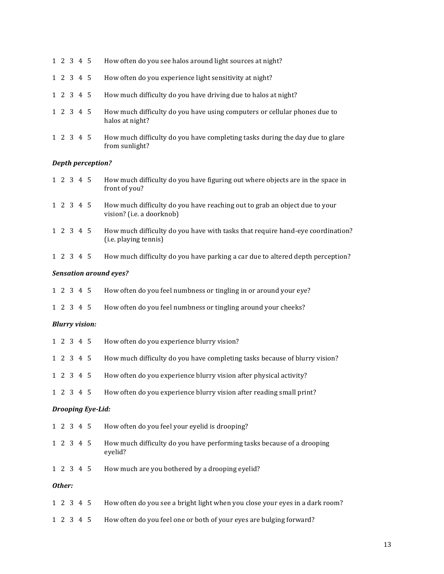| 1 2 3 4 5       |  |                          | How often do you see halos around light sources at night?                                               |
|-----------------|--|--------------------------|---------------------------------------------------------------------------------------------------------|
| 1 2 3 4 5       |  |                          | How often do you experience light sensitivity at night?                                                 |
| 1 2 3 4 5       |  |                          | How much difficulty do you have driving due to halos at night?                                          |
| 1 2 3 4 5       |  |                          | How much difficulty do you have using computers or cellular phones due to<br>halos at night?            |
| 1 2 3 4 5       |  |                          | How much difficulty do you have completing tasks during the day due to glare<br>from sunlight?          |
|                 |  | <b>Depth perception?</b> |                                                                                                         |
| $1\ 2\ 3\ 4\ 5$ |  |                          | How much difficulty do you have figuring out where objects are in the space in<br>front of you?         |
| 1 2 3 4 5       |  |                          | How much difficulty do you have reaching out to grab an object due to your<br>vision? (i.e. a doorknob) |
| 1 2 3 4 5       |  |                          | How much difficulty do you have with tasks that require hand-eye coordination?<br>(i.e. playing tennis) |
| 1 2 3 4 5       |  |                          | How much difficulty do you have parking a car due to altered depth perception?                          |
|                 |  |                          | <b>Sensation around eyes?</b>                                                                           |
| 1 2 3 4 5       |  |                          | How often do you feel numbness or tingling in or around your eye?                                       |
| 1 2 3 4 5       |  |                          | How often do you feel numbness or tingling around your cheeks?                                          |
|                 |  | <b>Blurry vision:</b>    |                                                                                                         |
| 1 2 3 4 5       |  |                          | How often do you experience blurry vision?                                                              |
| 1 2 3 4 5       |  |                          | How much difficulty do you have completing tasks because of blurry vision?                              |
| 1 2 3 4 5       |  |                          | How often do you experience blurry vision after physical activity?                                      |
| 1 2 3 4 5       |  |                          | How often do you experience blurry vision after reading small print?                                    |
|                 |  | <b>Drooping Eye-Lid:</b> |                                                                                                         |
| 1 2 3 4 5       |  |                          | How often do you feel your eyelid is drooping?                                                          |
| 1 2 3 4 5       |  |                          | How much difficulty do you have performing tasks because of a drooping<br>eyelid?                       |
| 1 2 3 4 5       |  |                          | How much are you bothered by a drooping eyelid?                                                         |
| Other:          |  |                          |                                                                                                         |
| 1 2 3 4 5       |  |                          | How often do you see a bright light when you close your eyes in a dark room?                            |

1 2 3 4 5 How often do you feel one or both of your eyes are bulging forward?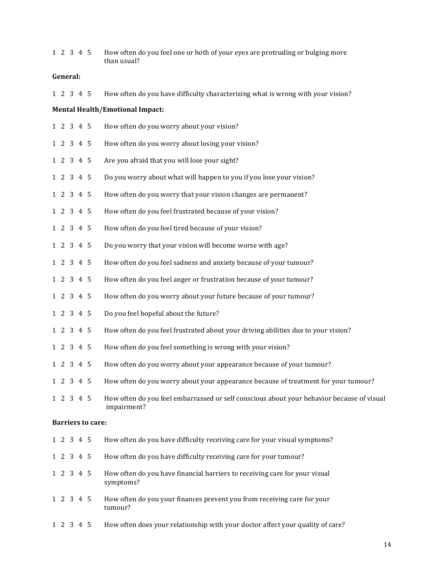| 1 2 3 4 5       |  |                          | How often do you feel one or both of your eyes are protruding or bulging more<br>than usual?             |
|-----------------|--|--------------------------|----------------------------------------------------------------------------------------------------------|
| General:        |  |                          |                                                                                                          |
| 1 2 3 4 5       |  |                          | How often do you have difficulty characterizing what is wrong with your vision?                          |
|                 |  |                          | <b>Mental Health/Emotional Impact:</b>                                                                   |
| 1 2 3 4 5       |  |                          | How often do you worry about your vision?                                                                |
| $1\ 2\ 3\ 4\ 5$ |  |                          | How often do you worry about losing your vision?                                                         |
| 1 2 3 4 5       |  |                          | Are you afraid that you will lose your sight?                                                            |
| 1 2 3 4 5       |  |                          | Do you worry about what will happen to you if you lose your vision?                                      |
| 1 2 3 4 5       |  |                          | How often do you worry that your vision changes are permanent?                                           |
| $1\ 2\ 3\ 4\ 5$ |  |                          | How often do you feel frustrated because of your vision?                                                 |
| $1\ 2\ 3\ 4\ 5$ |  |                          | How often do you feel tired because of your vision?                                                      |
| $1\ 2\ 3\ 4\ 5$ |  |                          | Do you worry that your vision will become worse with age?                                                |
| $1\ 2\ 3\ 4\ 5$ |  |                          | How often do you feel sadness and anxiety because of your tumour?                                        |
| $1\ 2\ 3\ 4\ 5$ |  |                          | How often do you feel anger or frustration because of your tumour?                                       |
| $1\ 2\ 3\ 4\ 5$ |  |                          | How often do you worry about your future because of your tumour?                                         |
| $1\ 2\ 3\ 4\ 5$ |  |                          | Do you feel hopeful about the future?                                                                    |
| $1\ 2\ 3\ 4\ 5$ |  |                          | How often do you feel frustrated about your driving abilities due to your vision?                        |
| 1 2 3 4 5       |  |                          | How often do you feel something is wrong with your vision?                                               |
| 1 2 3 4 5       |  |                          | How often do you worry about your appearance because of your tumour?                                     |
| 1 2 3 4 5       |  |                          | How often do you worry about your appearance because of treatment for your tumour?                       |
| 1 2 3 4 5       |  |                          | How often do you feel embarrassed or self conscious about your behavior because of visual<br>impairment? |
|                 |  | <b>Barriers to care:</b> |                                                                                                          |
| 1 2 3 4 5       |  |                          | How often do you have difficulty receiving care for your visual symptoms?                                |
| 1 2 3 4 5       |  |                          | How often do you have difficulty receiving care for your tumour?                                         |
| 1 2 3 4 5       |  |                          | How often do you have financial barriers to receiving care for your visual<br>symptoms?                  |
| 1 2 3 4 5       |  |                          | How often do you your finances prevent you from receiving care for your                                  |

1 2 3 4 5 How often does your relationship with your doctor affect your quality of care?

tumour?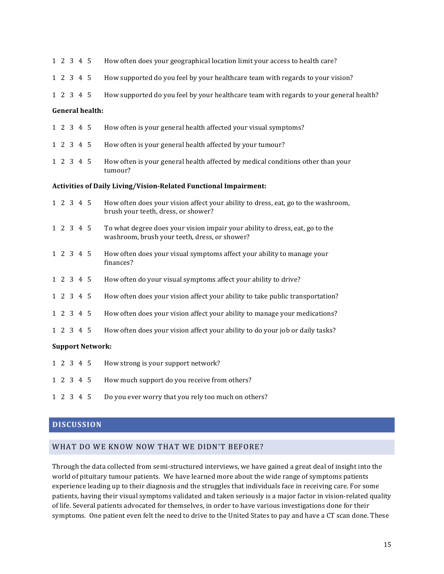| 1 2 3 4 5       |  |                        | How often does your geographical location limit your access to health care?                                                   |
|-----------------|--|------------------------|-------------------------------------------------------------------------------------------------------------------------------|
| 1 2 3 4 5       |  |                        | How supported do you feel by your healthcare team with regards to your vision?                                                |
| 1 2 3 4 5       |  |                        | How supported do you feel by your healthcare team with regards to your general health?                                        |
|                 |  | <b>General health:</b> |                                                                                                                               |
| $1\ 2\ 3\ 4\ 5$ |  |                        | How often is your general health affected your visual symptoms?                                                               |
| 1 2 3 4 5       |  |                        | How often is your general health affected by your tumour?                                                                     |
| 1 2 3 4 5       |  |                        | How often is your general health affected by medical conditions other than your<br>tumour?                                    |
|                 |  |                        | Activities of Daily Living/Vision-Related Functional Impairment:                                                              |
| 1 2 3 4 5       |  |                        | How often does your vision affect your ability to dress, eat, go to the washroom,<br>brush your teeth, dress, or shower?      |
| 1 2 3 4 5       |  |                        | To what degree does your vision impair your ability to dress, eat, go to the<br>washroom, brush your teeth, dress, or shower? |
| 1 2 3 4 5       |  |                        | How often does your visual symptoms affect your ability to manage your<br>finances?                                           |
| 1 2 3 4 5       |  |                        | How often do your visual symptoms affect your ability to drive?                                                               |
| 1 2 3 4 5       |  |                        | How often does your vision affect your ability to take public transportation?                                                 |
| 1 2 3 4 5       |  |                        | How often does your vision affect your ability to manage your medications?                                                    |
| 1 2 3 4 5       |  |                        | How often does your vision affect your ability to do your job or daily tasks?                                                 |
|                 |  |                        | <b>Support Network:</b>                                                                                                       |
| 1 2 3 4 5       |  |                        | How strong is your support network?                                                                                           |
| 1 2 3 4 5       |  |                        | How much support do you receive from others?                                                                                  |

# **DISCUSSION**

# WHAT DO WE KNOW NOW THAT WE DIDN'T BEFORE?

1 2 3 4 5 Do you ever worry that you rely too much on others?

Through the data collected from semi-structured interviews, we have gained a great deal of insight into the world of pituitary tumour patients. We have learned more about the wide range of symptoms patients experience leading up to their diagnosis and the struggles that individuals face in receiving care. For some patients, having their visual symptoms validated and taken seriously is a major factor in vision-related quality of life. Several patients advocated for themselves, in order to have various investigations done for their symptoms. One patient even felt the need to drive to the United States to pay and have a CT scan done. These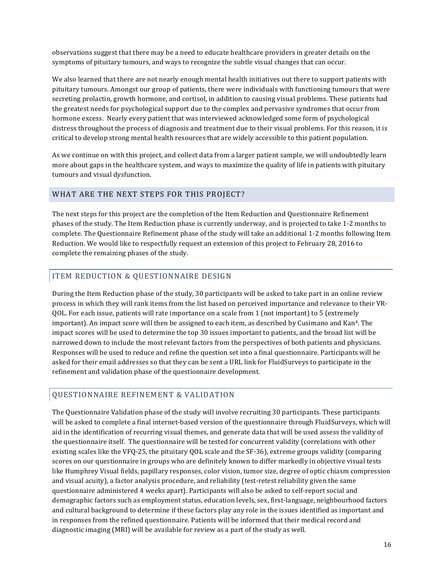observations suggest that there may be a need to educate healthcare providers in greater details on the symptoms of pituitary tumours, and ways to recognize the subtle visual changes that can occur.

We also learned that there are not nearly enough mental health initiatives out there to support patients with pituitary tumours. Amongst our group of patients, there were individuals with functioning tumours that were secreting prolactin, growth hormone, and cortisol, in addition to causing visual problems. These patients had the greatest needs for psychological support due to the complex and pervasive syndromes that occur from hormone excess. Nearly every patient that was interviewed acknowledged some form of psychological distress throughout the process of diagnosis and treatment due to their visual problems. For this reason, it is critical to develop strong mental health resources that are widely accessible to this patient population.

As we continue on with this project, and collect data from a larger patient sample, we will undoubtedly learn more about gaps in the healthcare system, and ways to maximize the quality of life in patients with pituitary tumours and visual dysfunction.

#### WHAT ARE THE NEXT STEPS FOR THIS PROJECT?

The next steps for this project are the completion of the Item Reduction and Questionnaire Refinement phases of the study. The Item Reduction phase is currently underway, and is projected to take 1-2 months to complete. The Questionnaire Refinement phase of the study will take an additional 1-2 months following Item Reduction. We would like to respectfully request an extension of this project to February 28, 2016 to complete the remaining phases of the study.

# ITEM REDUCTION & QUESTIONNAIRE DESIGN

During the Item Reduction phase of the study, 30 participants will be asked to take part in an online review process in which they will rank items from the list based on perceived importance and relevance to their VR-QOL. For each issue, patients will rate importance on a scale from 1 (not important) to 5 (extremely important). An impact score will then be assigned to each item, as described by Cusimano and Kan<sup>4</sup>. The impact scores will be used to determine the top 30 issues important to patients, and the broad list will be narrowed down to include the most relevant factors from the perspectives of both patients and physicians. Responses will be used to reduce and refine the question set into a final questionnaire. Participants will be asked for their email addresses so that they can be sent a URL link for FluidSurveys to participate in the refinement and validation phase of the questionnaire development.

# QUESTIONNAIRE REFINEMENT & VALIDATION

The Questionnaire Validation phase of the study will involve recruiting 30 participants. These participants will be asked to complete a final internet-based version of the questionnaire through FluidSurveys, which will aid in the identification of recurring visual themes, and generate data that will be used assess the validity of the questionnaire itself. The questionnaire will be tested for concurrent validity (correlations with other existing scales like the VFQ-25, the pituitary QOL scale and the SF-36), extreme groups validity (comparing scores on our questionnaire in groups who are definitely known to differ markedly in objective visual tests like Humphrey Visual fields, papillary responses, color vision, tumor size, degree of optic chiasm compression and visual acuity), a factor analysis procedure, and reliability (test-retest reliability given the same questionnaire administered 4 weeks apart). Participants will also be asked to self-report social and demographic factors such as employment status, education levels, sex, first-language, neighbourhood factors and cultural background to determine if these factors play any role in the issues identified as important and in responses from the refined questionnaire. Patients will be informed that their medical record and diagnostic imaging (MRI) will be available for review as a part of the study as well.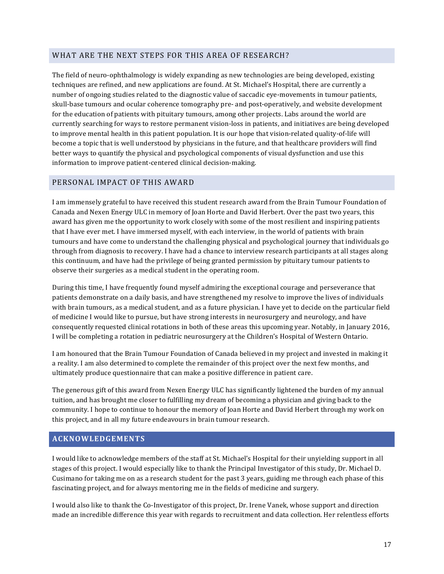#### WHAT ARE THE NEXT STEPS FOR THIS AREA OF RESEARCH?

The field of neuro-ophthalmology is widely expanding as new technologies are being developed, existing techniques are refined, and new applications are found. At St. Michael's Hospital, there are currently a number of ongoing studies related to the diagnostic value of saccadic eve-movements in tumour patients, skull-base tumours and ocular coherence tomography pre- and post-operatively, and website development for the education of patients with pituitary tumours, among other projects. Labs around the world are currently searching for ways to restore permanent vision-loss in patients, and initiatives are being developed to improve mental health in this patient population. It is our hope that vision-related quality-of-life will become a topic that is well understood by physicians in the future, and that healthcare providers will find better ways to quantify the physical and psychological components of visual dysfunction and use this information to improve patient-centered clinical decision-making.

#### PERSONAL IMPACT OF THIS AWARD

I am immensely grateful to have received this student research award from the Brain Tumour Foundation of Canada and Nexen Energy ULC in memory of Joan Horte and David Herbert. Over the past two years, this award has given me the opportunity to work closely with some of the most resilient and inspiring patients that I have ever met. I have immersed myself, with each interview, in the world of patients with brain tumours and have come to understand the challenging physical and psychological journey that individuals go through from diagnosis to recovery. I have had a chance to interview research participants at all stages along this continuum, and have had the privilege of being granted permission by pituitary tumour patients to observe their surgeries as a medical student in the operating room.

During this time, I have frequently found myself admiring the exceptional courage and perseverance that patients demonstrate on a daily basis, and have strengthened my resolve to improve the lives of individuals with brain tumours, as a medical student, and as a future physician. I have yet to decide on the particular field of medicine I would like to pursue, but have strong interests in neurosurgery and neurology, and have consequently requested clinical rotations in both of these areas this upcoming year. Notably, in January 2016, I will be completing a rotation in pediatric neurosurgery at the Children's Hospital of Western Ontario.

I am honoured that the Brain Tumour Foundation of Canada believed in my project and invested in making it a reality. I am also determined to complete the remainder of this project over the next few months, and ultimately produce questionnaire that can make a positive difference in patient care.

The generous gift of this award from Nexen Energy ULC has significantly lightened the burden of my annual tuition, and has brought me closer to fulfilling my dream of becoming a physician and giving back to the community. I hope to continue to honour the memory of Joan Horte and David Herbert through my work on this project, and in all my future endeavours in brain tumour research.

#### **ACKNOWLEDGEMENTS**

I would like to acknowledge members of the staff at St. Michael's Hospital for their unyielding support in all stages of this project. I would especially like to thank the Principal Investigator of this study, Dr. Michael D. Cusimano for taking me on as a research student for the past 3 years, guiding me through each phase of this fascinating project, and for always mentoring me in the fields of medicine and surgery.

I would also like to thank the Co-Investigator of this project, Dr. Irene Vanek, whose support and direction made an incredible difference this year with regards to recruitment and data collection. Her relentless efforts